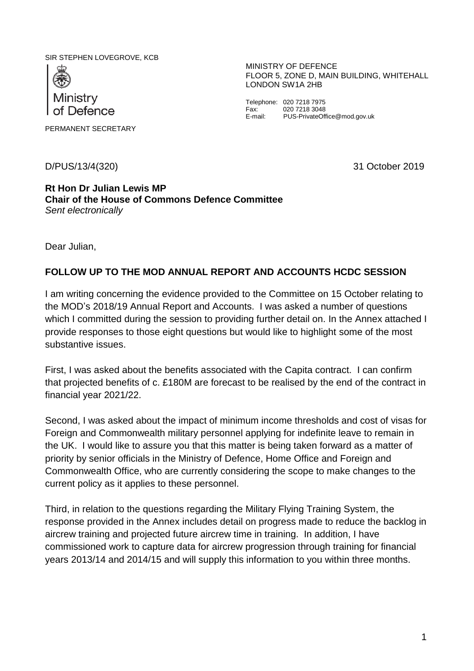SIR STEPHEN LOVEGROVE, KCB



PERMANENT SECRETARY

D/PUS/13/4(320) 31 October 2019

MINISTRY OF DEFENCE FLOOR 5, ZONE D, MAIN BUILDING, WHITEHALL LONDON SW1A 2HB

Telephone: 020 7218 7975<br>Fax: 020 7218 3048 Fax: 020 7218 3048<br>
E-mail: PUS-PrivateOff PUS-PrivateOffice@mod.gov.uk

## **Rt Hon Dr Julian Lewis MP Chair of the House of Commons Defence Committee** *Sent electronically*

Dear Julian,

## **FOLLOW UP TO THE MOD ANNUAL REPORT AND ACCOUNTS HCDC SESSION**

I am writing concerning the evidence provided to the Committee on 15 October relating to the MOD's 2018/19 Annual Report and Accounts. I was asked a number of questions which I committed during the session to providing further detail on. In the Annex attached I provide responses to those eight questions but would like to highlight some of the most substantive issues.

First, I was asked about the benefits associated with the Capita contract. I can confirm that projected benefits of c. £180M are forecast to be realised by the end of the contract in financial year 2021/22.

Second, I was asked about the impact of minimum income thresholds and cost of visas for Foreign and Commonwealth military personnel applying for indefinite leave to remain in the UK. I would like to assure you that this matter is being taken forward as a matter of priority by senior officials in the Ministry of Defence, Home Office and Foreign and Commonwealth Office, who are currently considering the scope to make changes to the current policy as it applies to these personnel.

Third, in relation to the questions regarding the Military Flying Training System, the response provided in the Annex includes detail on progress made to reduce the backlog in aircrew training and projected future aircrew time in training. In addition, I have commissioned work to capture data for aircrew progression through training for financial years 2013/14 and 2014/15 and will supply this information to you within three months.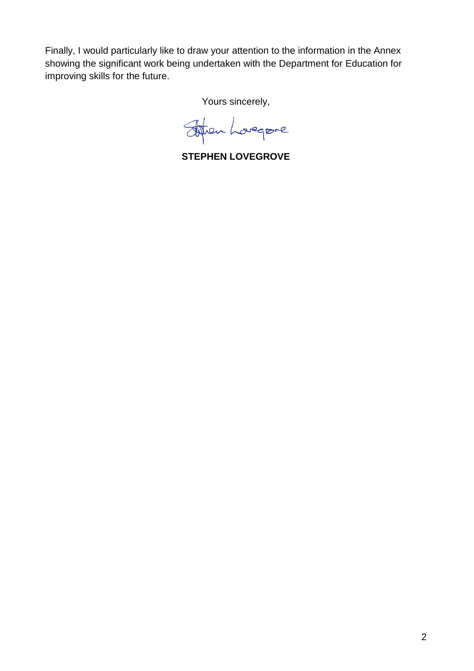Finally, I would particularly like to draw your attention to the information in the Annex showing the significant work being undertaken with the Department for Education for improving skills for the future.

Yours sincerely,

Johan Longere

**STEPHEN LOVEGROVE**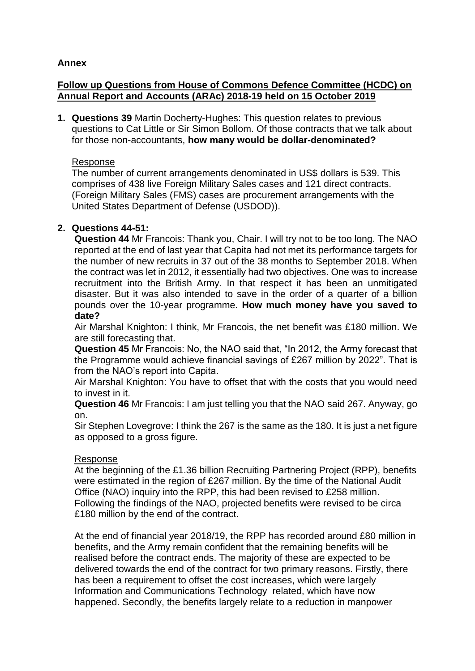## **Annex**

## **Follow up Questions from House of Commons Defence Committee (HCDC) on Annual Report and Accounts (ARAc) 2018-19 held on 15 October 2019**

**1. Questions 39** Martin Docherty-Hughes: This question relates to previous questions to Cat Little or Sir Simon Bollom. Of those contracts that we talk about for those non-accountants, **how many would be dollar-denominated?**

### Response

The number of current arrangements denominated in US\$ dollars is 539. This comprises of 438 live Foreign Military Sales cases and 121 direct contracts. (Foreign Military Sales (FMS) cases are procurement arrangements with the United States Department of Defense (USDOD)).

## **2. Questions 44-51:**

**Question 44** Mr Francois: Thank you, Chair. I will try not to be too long. The NAO reported at the end of last year that Capita had not met its performance targets for the number of new recruits in 37 out of the 38 months to September 2018. When the contract was let in 2012, it essentially had two objectives. One was to increase recruitment into the British Army. In that respect it has been an unmitigated disaster. But it was also intended to save in the order of a quarter of a billion pounds over the 10-year programme. **How much money have you saved to date?**

Air Marshal Knighton: I think, Mr Francois, the net benefit was £180 million. We are still forecasting that.

**Question 45** Mr Francois: No, the NAO said that, "In 2012, the Army forecast that the Programme would achieve financial savings of £267 million by 2022". That is from the NAO's report into Capita.

Air Marshal Knighton: You have to offset that with the costs that you would need to invest in it.

**Question 46** Mr Francois: I am just telling you that the NAO said 267. Anyway, go on.

Sir Stephen Lovegrove: I think the 267 is the same as the 180. It is just a net figure as opposed to a gross figure.

## Response

At the beginning of the £1.36 billion Recruiting Partnering Project (RPP), benefits were estimated in the region of £267 million. By the time of the National Audit Office (NAO) inquiry into the RPP, this had been revised to £258 million. Following the findings of the NAO, projected benefits were revised to be circa £180 million by the end of the contract.

At the end of financial year 2018/19, the RPP has recorded around £80 million in benefits, and the Army remain confident that the remaining benefits will be realised before the contract ends. The majority of these are expected to be delivered towards the end of the contract for two primary reasons. Firstly, there has been a requirement to offset the cost increases, which were largely Information and Communications Technology related, which have now happened. Secondly, the benefits largely relate to a reduction in manpower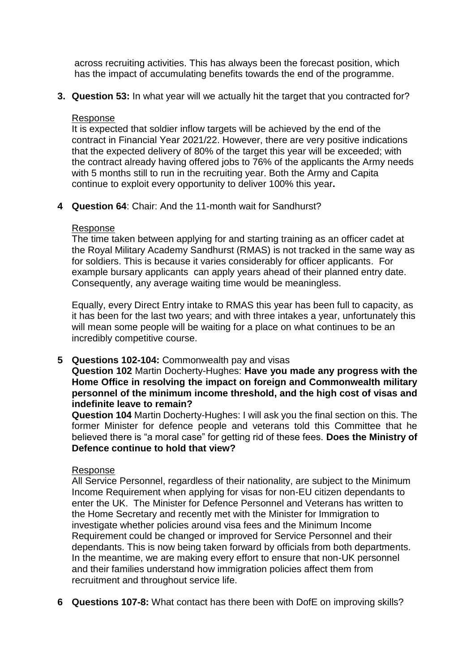across recruiting activities. This has always been the forecast position, which has the impact of accumulating benefits towards the end of the programme.

**3. Question 53:** In what year will we actually hit the target that you contracted for?

## Response

It is expected that soldier inflow targets will be achieved by the end of the contract in Financial Year 2021/22. However, there are very positive indications that the expected delivery of 80% of the target this year will be exceeded; with the contract already having offered jobs to 76% of the applicants the Army needs with 5 months still to run in the recruiting year. Both the Army and Capita continue to exploit every opportunity to deliver 100% this year**.** 

**4 Question 64**: Chair: And the 11-month wait for Sandhurst?

## Response

The time taken between applying for and starting training as an officer cadet at the Royal Military Academy Sandhurst (RMAS) is not tracked in the same way as for soldiers. This is because it varies considerably for officer applicants. For example bursary applicants can apply years ahead of their planned entry date. Consequently, any average waiting time would be meaningless.

Equally, every Direct Entry intake to RMAS this year has been full to capacity, as it has been for the last two years; and with three intakes a year, unfortunately this will mean some people will be waiting for a place on what continues to be an incredibly competitive course.

**5 Questions 102-104:** Commonwealth pay and visas

**Question 102** Martin Docherty-Hughes: **Have you made any progress with the Home Office in resolving the impact on foreign and Commonwealth military personnel of the minimum income threshold, and the high cost of visas and indefinite leave to remain?**

**Question 104** Martin Docherty-Hughes: I will ask you the final section on this. The former Minister for defence people and veterans told this Committee that he believed there is "a moral case" for getting rid of these fees. **Does the Ministry of Defence continue to hold that view?**

## Response

All Service Personnel, regardless of their nationality, are subject to the Minimum Income Requirement when applying for visas for non-EU citizen dependants to enter the UK. The Minister for Defence Personnel and Veterans has written to the Home Secretary and recently met with the Minister for Immigration to investigate whether policies around visa fees and the Minimum Income Requirement could be changed or improved for Service Personnel and their dependants. This is now being taken forward by officials from both departments. In the meantime, we are making every effort to ensure that non-UK personnel and their families understand how immigration policies affect them from recruitment and throughout service life.

**6 Questions 107-8:** What contact has there been with DofE on improving skills?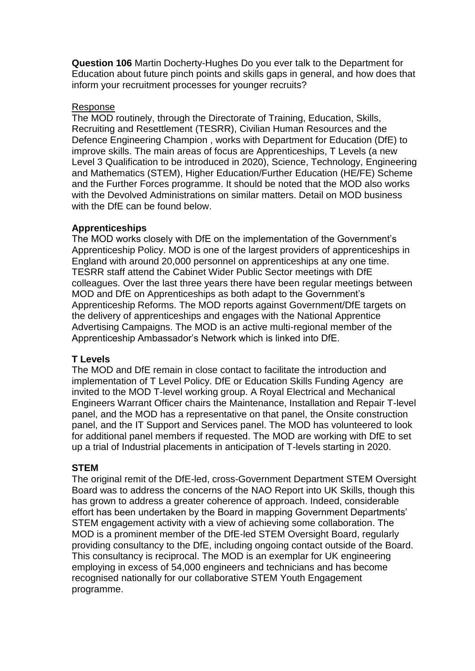**Question 106** Martin Docherty-Hughes Do you ever talk to the Department for Education about future pinch points and skills gaps in general, and how does that inform your recruitment processes for younger recruits?

#### Response

The MOD routinely, through the Directorate of Training, Education, Skills, Recruiting and Resettlement (TESRR), Civilian Human Resources and the Defence Engineering Champion , works with Department for Education (DfE) to improve skills. The main areas of focus are Apprenticeships, T Levels (a new Level 3 Qualification to be introduced in 2020), Science, Technology, Engineering and Mathematics (STEM), Higher Education/Further Education (HE/FE) Scheme and the Further Forces programme. It should be noted that the MOD also works with the Devolved Administrations on similar matters. Detail on MOD business with the DfE can be found below.

## **Apprenticeships**

The MOD works closely with DfE on the implementation of the Government's Apprenticeship Policy. MOD is one of the largest providers of apprenticeships in England with around 20,000 personnel on apprenticeships at any one time. TESRR staff attend the Cabinet Wider Public Sector meetings with DfE colleagues. Over the last three years there have been regular meetings between MOD and DfE on Apprenticeships as both adapt to the Government's Apprenticeship Reforms. The MOD reports against Government/DfE targets on the delivery of apprenticeships and engages with the National Apprentice Advertising Campaigns. The MOD is an active multi-regional member of the Apprenticeship Ambassador's Network which is linked into DfE.

## **T Levels**

The MOD and DfE remain in close contact to facilitate the introduction and implementation of T Level Policy. DfE or Education Skills Funding Agency are invited to the MOD T-level working group. A Royal Electrical and Mechanical Engineers Warrant Officer chairs the Maintenance, Installation and Repair T-level panel, and the MOD has a representative on that panel, the Onsite construction panel, and the IT Support and Services panel. The MOD has volunteered to look for additional panel members if requested. The MOD are working with DfE to set up a trial of Industrial placements in anticipation of T-levels starting in 2020.

## **STEM**

The original remit of the DfE-led, cross-Government Department STEM Oversight Board was to address the concerns of the NAO Report into UK Skills, though this has grown to address a greater coherence of approach. Indeed, considerable effort has been undertaken by the Board in mapping Government Departments' STEM engagement activity with a view of achieving some collaboration. The MOD is a prominent member of the DfE-led STEM Oversight Board, regularly providing consultancy to the DfE, including ongoing contact outside of the Board. This consultancy is reciprocal. The MOD is an exemplar for UK engineering employing in excess of 54,000 engineers and technicians and has become recognised nationally for our collaborative STEM Youth Engagement programme.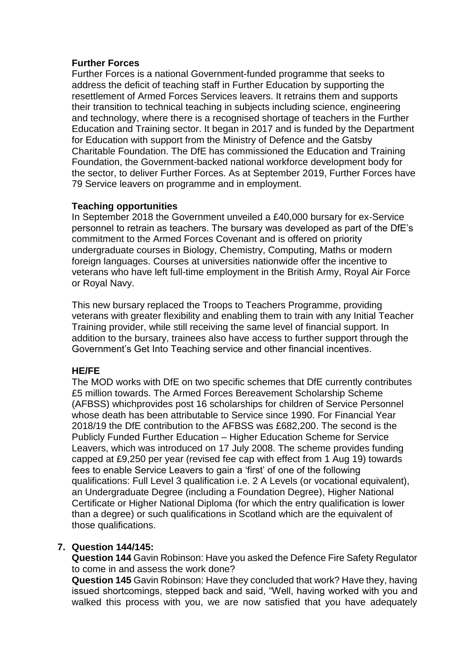## **Further Forces**

Further Forces is a national Government-funded programme that seeks to address the deficit of teaching staff in Further Education by supporting the resettlement of Armed Forces Services leavers. It retrains them and supports their transition to technical teaching in subjects including science, engineering and technology, where there is a recognised shortage of teachers in the Further Education and Training sector. It began in 2017 and is funded by the Department for Education with support from the Ministry of Defence and the Gatsby Charitable Foundation. The DfE has commissioned the Education and Training Foundation, the Government-backed national workforce development body for the sector, to deliver Further Forces. As at September 2019, Further Forces have 79 Service leavers on programme and in employment.

## **Teaching opportunities**

In September 2018 the Government unveiled a £40,000 bursary for ex-Service personnel to retrain as teachers. The bursary was developed as part of the DfE's commitment to the Armed Forces Covenant and is offered on priority undergraduate courses in Biology, Chemistry, Computing, Maths or modern foreign languages. Courses at universities nationwide offer the incentive to veterans who have left full-time employment in the British Army, Royal Air Force or Royal Navy.

This new bursary replaced the Troops to Teachers Programme, providing veterans with greater flexibility and enabling them to train with any Initial Teacher Training provider, while still receiving the same level of financial support. In addition to the bursary, trainees also have access to further support through the Government's Get Into Teaching service and other financial incentives.

## **HE/FE**

The MOD works with DfE on two specific schemes that DfE currently contributes £5 million towards. The Armed Forces Bereavement Scholarship Scheme (AFBSS) whichprovides post 16 scholarships for children of Service Personnel whose death has been attributable to Service since 1990. For Financial Year 2018/19 the DfE contribution to the AFBSS was £682,200. The second is the Publicly Funded Further Education – Higher Education Scheme for Service Leavers, which was introduced on 17 July 2008. The scheme provides funding capped at £9,250 per year (revised fee cap with effect from 1 Aug 19) towards fees to enable Service Leavers to gain a 'first' of one of the following qualifications: Full Level 3 qualification i.e. 2 A Levels (or vocational equivalent), an Undergraduate Degree (including a Foundation Degree), Higher National Certificate or Higher National Diploma (for which the entry qualification is lower than a degree) or such qualifications in Scotland which are the equivalent of those qualifications.

# **7. Question 144/145:**

**Question 144** Gavin Robinson: Have you asked the Defence Fire Safety Regulator to come in and assess the work done?

**Question 145** Gavin Robinson: Have they concluded that work? Have they, having issued shortcomings, stepped back and said, "Well, having worked with you and walked this process with you, we are now satisfied that you have adequately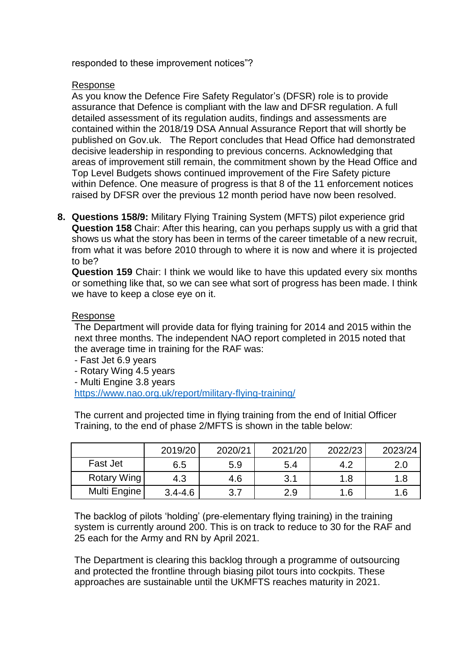responded to these improvement notices"?

### Response

As you know the Defence Fire Safety Regulator's (DFSR) role is to provide assurance that Defence is compliant with the law and DFSR regulation. A full detailed assessment of its regulation audits, findings and assessments are contained within the 2018/19 DSA Annual Assurance Report that will shortly be published on Gov.uk. The Report concludes that Head Office had demonstrated decisive leadership in responding to previous concerns. Acknowledging that areas of improvement still remain, the commitment shown by the Head Office and Top Level Budgets shows continued improvement of the Fire Safety picture within Defence. One measure of progress is that 8 of the 11 enforcement notices raised by DFSR over the previous 12 month period have now been resolved.

**8. Questions 158/9:** Military Flying Training System (MFTS) pilot experience grid **Question 158** Chair: After this hearing, can you perhaps supply us with a grid that shows us what the story has been in terms of the career timetable of a new recruit, from what it was before 2010 through to where it is now and where it is projected to be?

**Question 159** Chair: I think we would like to have this updated every six months or something like that, so we can see what sort of progress has been made. I think we have to keep a close eye on it.

#### Response

The Department will provide data for flying training for 2014 and 2015 within the next three months. The independent NAO report completed in 2015 noted that the average time in training for the RAF was:

- Fast Jet 6.9 years

- Rotary Wing 4.5 years

- Multi Engine 3.8 years

<https://www.nao.org.uk/report/military-flying-training/>

The current and projected time in flying training from the end of Initial Officer Training, to the end of phase 2/MFTS is shown in the table below:

|              | 2019/20     | 2020/21 | 2021/20 | 2022/23 | 2023/24 |
|--------------|-------------|---------|---------|---------|---------|
| Fast Jet     | 6.5         | 5.9     | 5.4     | 4.2     | 2.0     |
| Rotary Wing  | 4.3         | 4.6     | 3.1     | 1.8     | 1.8     |
| Multi Engine | $3.4 - 4.6$ | 3.7     | 2.9     | 1.6     | 1.6     |

The backlog of pilots 'holding' (pre-elementary flying training) in the training system is currently around 200. This is on track to reduce to 30 for the RAF and 25 each for the Army and RN by April 2021.

The Department is clearing this backlog through a programme of outsourcing and protected the frontline through biasing pilot tours into cockpits. These approaches are sustainable until the UKMFTS reaches maturity in 2021.